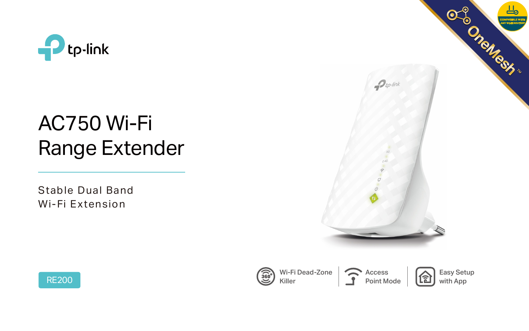

# AC750 Wi-Fi Range Extender





Stable Dual Band Wi-Fi Extension



Wi-Fi Dead-Zone Killer



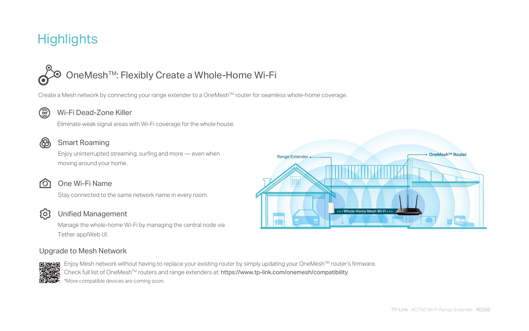# **Highlights**

# OneMeshTM: Flexibly Create a Whole-Home Wi-Fi

Create a Mesh network by connecting your range extender to a OneMesh™ router for seamless whole-home coverage.



### Wi-Fi Dead-Zone Killer

Eliminate weak signal areas with Wi-Fi coverage for the whole house.



### Smart Roaming

Enjoy uninterrupted streaming, surfing and more — even when moving around your home.



### One Wi-Fi Name

Stay connected to the same network name in every room.



Enjoy Mesh network without having to replace your existing router by simply updating your OneMesh™ router's firmware. Check full list of OneMesh<sup>™</sup> routers and range extenders at: https://www.tp-link.com/onemesh/compatibility \*More compatible devices are coming soon.

#### Unified Management

Manage the whole-home Wi-Fi by managing the central node via Tether app/Web UI.

#### Upgrade to Mesh Network



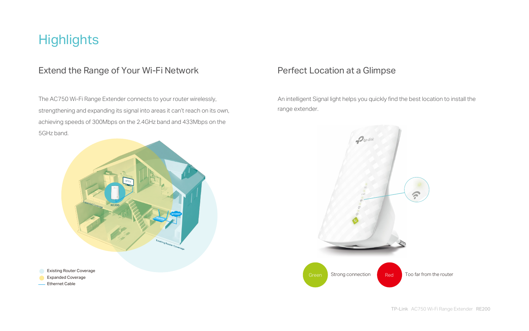# **Highlights**

### Extend the Range of Your Wi-Fi Network Perfect Location at a Glimpse

### The AC750 Wi-Fi Range Extender connects to your router wirelessly, strengthening and expanding its signal into areas it can't reach on its own, achieving speeds of 300Mbps on the 2.4GHz band and 433Mbps on the 5GHz band.

An intelligent Signal light helps you quickly find the best location to install the



range extender.



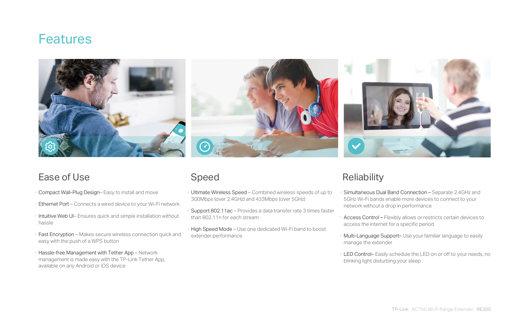- · Ultimate Wireless Speed Combined wireless speeds of up to 300Mbps (over 2.4GHz) and 433Mbps (over 5GHz) Simultaneous Dual Band Connection – Separate 2.4GHz and 5GHz Wi-Fi bands enable more devices to connect to your network without a drop in performance
- · Support 802.11ac Provides a data transfer rate 3 times faster than 802.11n for each stream
- · High Speed Mode Use one dedicated Wi-Fi band to boost extender performance

# **Reliability**

# Speed

- · Access Control Flexibly allows or restricts certain devices to access the internet for a specific period
- · Multi-Language Support– Use your familiar language to easily manage the extender
- · LED Control– Easily schedule the LED on or off to your needs, no blinking light disturbing your sleep
- · Compact Wall-Plug Design– Easy to install and move
- · Ethernet Port Connects a wired device to your Wi-Fi network
- · Intuitive Web UI– Ensures quick and simple installation without hassle
- · Fast Encryption Makes secure wireless connection quick and easy with the push of a WPS button
- · Hassle-free Management with Tether App Network management is made easy with the TP-Link Tether App, available on any Android or iOS device

# **Features**





### Ease of Use